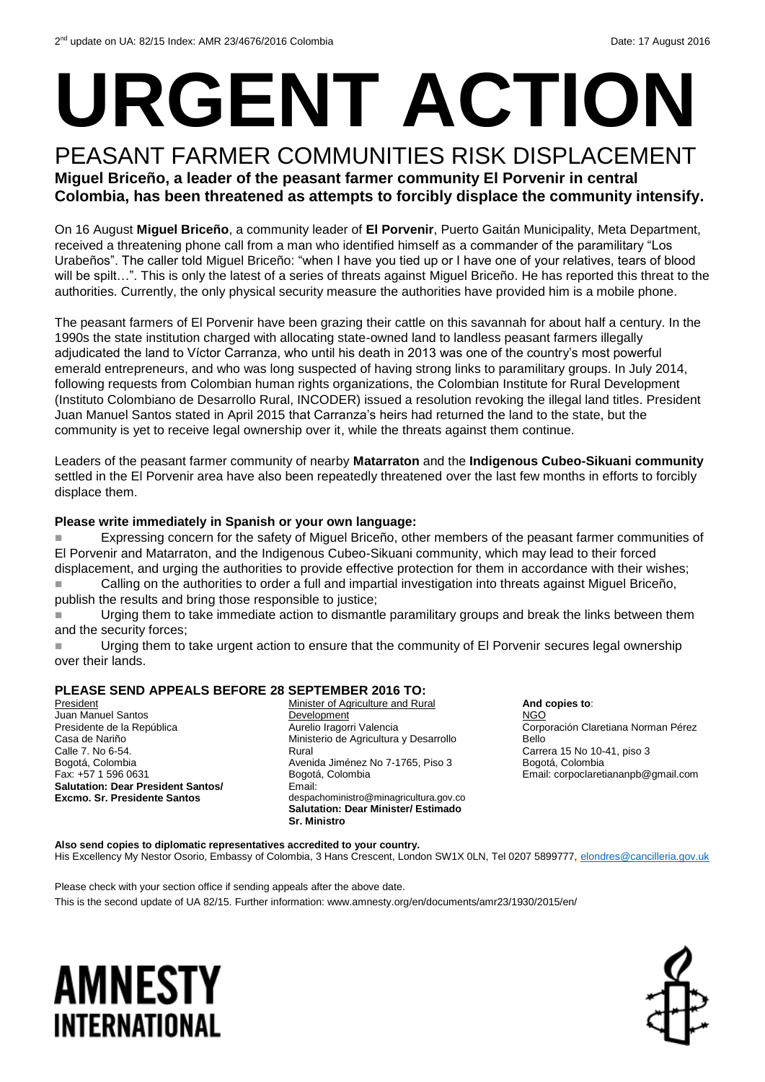# **URGENT ACTION**

#### PEASANT FARMER COMMUNITIES RISK DISPLACEMENT **Miguel Briceño, a leader of the peasant farmer community El Porvenir in central**

**Colombia, has been threatened as attempts to forcibly displace the community intensify.**

On 16 August **Miguel Briceño**, a community leader of **El Porvenir**, Puerto Gaitán Municipality, Meta Department, received a threatening phone call from a man who identified himself as a commander of the paramilitary "Los Urabeños". The caller told Miguel Briceño: "when I have you tied up or I have one of your relatives, tears of blood will be spilt...". This is only the latest of a series of threats against Miguel Briceño. He has reported this threat to the authorities. Currently, the only physical security measure the authorities have provided him is a mobile phone.

The peasant farmers of El Porvenir have been grazing their cattle on this savannah for about half a century. In the 1990s the state institution charged with allocating state-owned land to landless peasant farmers illegally adjudicated the land to Víctor Carranza, who until his death in 2013 was one of the country's most powerful emerald entrepreneurs, and who was long suspected of having strong links to paramilitary groups. In July 2014, following requests from Colombian human rights organizations, the Colombian Institute for Rural Development (Instituto Colombiano de Desarrollo Rural, INCODER) issued a resolution revoking the illegal land titles. President Juan Manuel Santos stated in April 2015 that Carranza's heirs had returned the land to the state, but the community is yet to receive legal ownership over it, while the threats against them continue.

Leaders of the peasant farmer community of nearby **Matarraton** and the **Indigenous Cubeo-Sikuani community** settled in the El Porvenir area have also been repeatedly threatened over the last few months in efforts to forcibly displace them.

#### **Please write immediately in Spanish or your own language:**

 Expressing concern for the safety of Miguel Briceño, other members of the peasant farmer communities of El Porvenir and Matarraton, and the Indigenous Cubeo-Sikuani community, which may lead to their forced displacement, and urging the authorities to provide effective protection for them in accordance with their wishes;

 Calling on the authorities to order a full and impartial investigation into threats against Miguel Briceño, publish the results and bring those responsible to justice;

**Urging them to take immediate action to dismantle paramilitary groups and break the links between them** and the security forces;

 Urging them to take urgent action to ensure that the community of El Porvenir secures legal ownership over their lands.

#### **PLEASE SEND APPEALS BEFORE 28 SEPTEMBER 2016 TO:**

President Juan Manuel Santos Presidente de la República Casa de Nariño Calle 7. No 6-54. Bogotá, Colombia Fax: +57 1 596 0631 **Salutation: Dear President Santos/ Excmo. Sr. Presidente Santos** 

Minister of Agriculture and Rural Development Aurelio Iragorri Valencia Ministerio de Agricultura y Desarrollo Rural Avenida Jiménez No 7-1765, Piso 3 Bogotá, Colombia Email: despachoministro@minagricultura.gov.co **Salutation: Dear Minister/ Estimado Sr. Ministro**

**And copies to**: NGO Corporación Claretiana Norman Pérez Bello Carrera 15 No 10-41, piso 3 Bogotá, Colombia Email: corpoclaretiananpb@gmail.com

**Also send copies to diplomatic representatives accredited to your country.**  His Excellency My Nestor Osorio, Embassy of Colombia, 3 Hans Crescent, London SW1X 0LN, Tel 0207 5899777[, elondres@cancilleria.gov.uk](mailto:elondres@cancilleria.gov.uk)

Please check with your section office if sending appeals after the above date. This is the second update of UA 82/15. Further information: www.amnesty.org/en/documents/amr23/1930/2015/en/